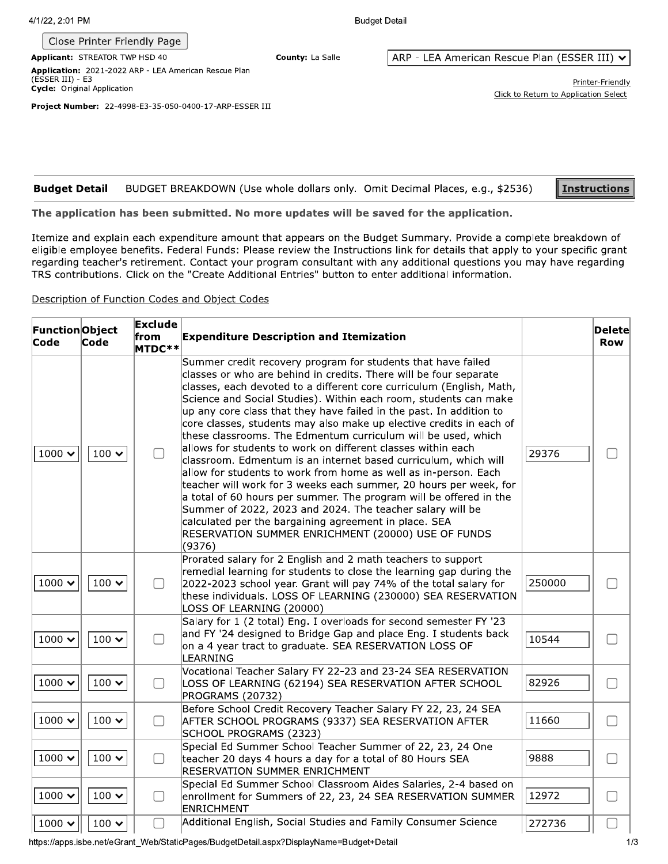| 4/1/22, 2:01 PM |  |
|-----------------|--|
|                 |  |

## Close Printer Friendly Page

County: La Salle

**Budget Detail** 

Applicant: STREATOR TWP HSD 40 Application: 2021-2022 ARP - LEA American Rescue Plan (ESSER III) - E3 Cycle: Original Application

ARP - LEA American Rescue Plan (ESSER III) v

Printer-Friendly Click to Return to Application Select

Project Number: 22-4998-E3-35-050-0400-17-ARP-ESSER III

| <b>Budget Detail</b> BUDGET BREAKDOWN (Use whole dollars only. Omit Decimal Places, e.g., \$2536) | <u>  Instructions</u> |
|---------------------------------------------------------------------------------------------------|-----------------------|

## The application has been submitted. No more updates will be saved for the application.

Itemize and explain each expenditure amount that appears on the Budget Summary. Provide a complete breakdown of eligible employee benefits. Federal Funds: Please review the Instructions link for details that apply to your specific grant regarding teacher's retirement. Contact your program consultant with any additional questions you may have regarding TRS contributions. Click on the "Create Additional Entries" button to enter additional information.

## Description of Function Codes and Object Codes

| <b>FunctionObject</b><br>Code | Code                          | Exclude<br>from<br>MTDC** | <b>Expenditure Description and Itemization</b>                                                                                                                                                                                                                                                                                                                                                                                                                                                                                                                                                                                                                                                                                                                                                                                                                                                                                                                                                                                          |        | Delete<br><b>Row</b>     |
|-------------------------------|-------------------------------|---------------------------|-----------------------------------------------------------------------------------------------------------------------------------------------------------------------------------------------------------------------------------------------------------------------------------------------------------------------------------------------------------------------------------------------------------------------------------------------------------------------------------------------------------------------------------------------------------------------------------------------------------------------------------------------------------------------------------------------------------------------------------------------------------------------------------------------------------------------------------------------------------------------------------------------------------------------------------------------------------------------------------------------------------------------------------------|--------|--------------------------|
| $1000 \times$                 | 100 $\boldsymbol{\checkmark}$ | $\Box$                    | Summer credit recovery program for students that have failed<br>classes or who are behind in credits. There will be four separate<br>classes, each devoted to a different core curriculum (English, Math,<br>Science and Social Studies). Within each room, students can make<br>$ $ up any core class that they have failed in the past. In addition to<br>core classes, students may also make up elective credits in each of<br>these classrooms. The Edmentum curriculum will be used, which<br>allows for students to work on different classes within each<br>classroom. Edmentum is an internet based curriculum, which will<br>allow for students to work from home as well as in-person. Each<br>teacher will work for 3 weeks each summer, 20 hours per week, for<br>a total of 60 hours per summer. The program will be offered in the<br>Summer of 2022, 2023 and 2024. The teacher salary will be<br>calculated per the bargaining agreement in place. SEA<br>RESERVATION SUMMER ENRICHMENT (20000) USE OF FUNDS<br>(9376) | 29376  |                          |
| 1000 $\sim$                   | $100 \times$                  | ∩                         | Prorated salary for 2 English and 2 math teachers to support<br>remedial learning for students to close the learning gap during the<br>2022-2023 school year. Grant will pay 74% of the total salary for<br>these individuals. LOSS OF LEARNING (230000) SEA RESERVATION<br>LOSS OF LEARNING (20000)                                                                                                                                                                                                                                                                                                                                                                                                                                                                                                                                                                                                                                                                                                                                    | 250000 |                          |
| $1000 \times$                 | 100 $\sim$                    | ∩                         | Salary for 1 (2 total) Eng. I overloads for second semester FY '23<br>and FY '24 designed to Bridge Gap and place Eng. I students back<br>on a 4 year tract to graduate. SEA RESERVATION LOSS OF<br>LEARNING                                                                                                                                                                                                                                                                                                                                                                                                                                                                                                                                                                                                                                                                                                                                                                                                                            | 10544  |                          |
| 1000 $\sim$                   | 100 $\sim$                    | $\Box$                    | Vocational Teacher Salary FY 22-23 and 23-24 SEA RESERVATION<br>LOSS OF LEARNING (62194) SEA RESERVATION AFTER SCHOOL<br>PROGRAMS (20732)                                                                                                                                                                                                                                                                                                                                                                                                                                                                                                                                                                                                                                                                                                                                                                                                                                                                                               | 82926  |                          |
| 1000 $\sim$                   | $100 \times$                  | $\Box$                    | Before School Credit Recovery Teacher Salary FY 22, 23, 24 SEA<br>AFTER SCHOOL PROGRAMS (9337) SEA RESERVATION AFTER<br>SCHOOL PROGRAMS (2323)                                                                                                                                                                                                                                                                                                                                                                                                                                                                                                                                                                                                                                                                                                                                                                                                                                                                                          | 11660  | $\overline{\phantom{a}}$ |
| 1000 $\sim$                   | 100 $\sim$                    | $\Box$                    | Special Ed Summer School Teacher Summer of 22, 23, 24 One<br>teacher 20 days 4 hours a day for a total of 80 Hours SEA<br>RESERVATION SUMMER ENRICHMENT                                                                                                                                                                                                                                                                                                                                                                                                                                                                                                                                                                                                                                                                                                                                                                                                                                                                                 | 9888   |                          |
| 1000 $\sim$                   | $100 \; \mathsf{v}$           | ∩                         | Special Ed Summer School Classroom Aides Salaries, 2-4 based on<br>enrollment for Summers of 22, 23, 24 SEA RESERVATION SUMMER<br>ENRICHMENT                                                                                                                                                                                                                                                                                                                                                                                                                                                                                                                                                                                                                                                                                                                                                                                                                                                                                            | 12972  | $\Box$                   |
| 1000 $\sim$                   | 100 $\sim$                    | $\Box$                    | Additional English, Social Studies and Family Consumer Science                                                                                                                                                                                                                                                                                                                                                                                                                                                                                                                                                                                                                                                                                                                                                                                                                                                                                                                                                                          | 272736 | H                        |

https://apps.isbe.net/eGrant\_Web/StaticPages/BudgetDetail.aspx?DisplayName=Budget+Detail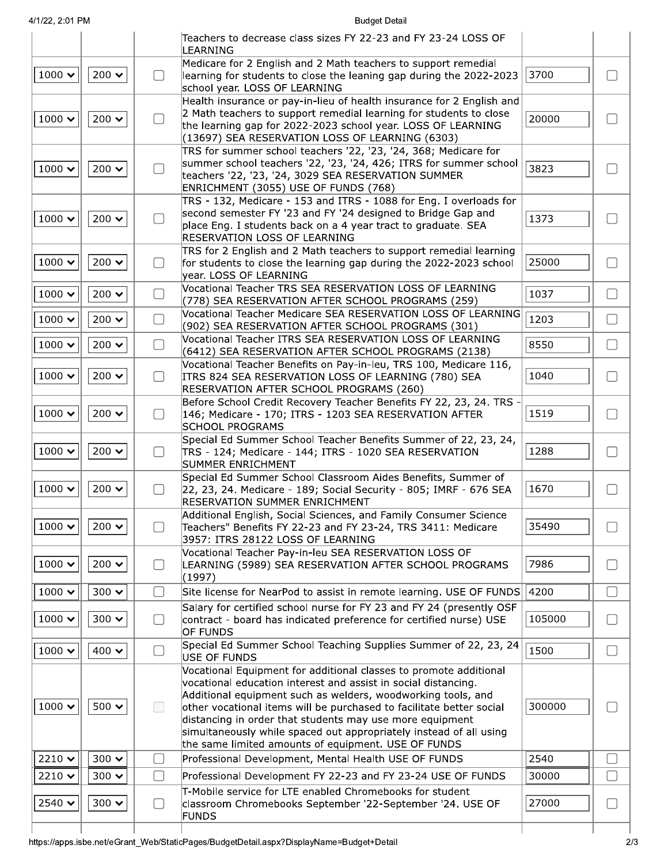**Budget Detail** 

|                                |                       |        | Teachers to decrease class sizes FY 22-23 and FY 23-24 LOSS OF<br>LEARNING                                                         |        |        |
|--------------------------------|-----------------------|--------|------------------------------------------------------------------------------------------------------------------------------------|--------|--------|
|                                |                       |        | Medicare for 2 English and 2 Math teachers to support remedial                                                                     |        |        |
| 1000 $\sim$                    | 200 $\sim$            | $\Box$ | learning for students to close the leaning gap during the 2022-2023<br>school year. LOSS OF LEARNING                               | 3700   | $\Box$ |
|                                |                       |        | Health insurance or pay-in-lieu of health insurance for 2 English and                                                              |        |        |
| 1000 $\sim$                    | 200 $\sim$            | $\Box$ | 2 Math teachers to support remedial learning for students to close                                                                 | 20000  | $\Box$ |
|                                |                       |        | the learning gap for 2022-2023 school year. LOSS OF LEARNING<br>(13697) SEA RESERVATION LOSS OF LEARNING (6303)                    |        |        |
|                                |                       |        | TRS for summer school teachers '22, '23, '24, 368; Medicare for                                                                    |        |        |
| $1000 \times$                  | $200 \times$          |        | summer school teachers '22, '23, '24, 426; ITRS for summer school                                                                  | 3823   |        |
|                                |                       | $\Box$ | teachers '22, '23, '24, 3029 SEA RESERVATION SUMMER                                                                                |        | $\Box$ |
|                                |                       |        | ENRICHMENT (3055) USE OF FUNDS (768)                                                                                               |        |        |
|                                |                       |        | TRS - 132, Medicare - 153 and ITRS - 1088 for Eng. I overloads for<br>second semester FY '23 and FY '24 designed to Bridge Gap and |        |        |
| 1000 $\sim$                    | 200 $\sim$            | ∩      | place Eng. I students back on a 4 year tract to graduate. SEA                                                                      | 1373   | $\Box$ |
|                                |                       |        | <b>RESERVATION LOSS OF LEARNING</b>                                                                                                |        |        |
|                                |                       |        | TRS for 2 English and 2 Math teachers to support remedial learning                                                                 |        |        |
| 1000 $\sim$                    | 200 $\bm{\checkmark}$ | $\Box$ | for students to close the learning gap during the 2022-2023 school                                                                 | 25000  | $\Box$ |
|                                |                       |        | year. LOSS OF LEARNING                                                                                                             |        |        |
| $1000 \times$                  | 200 $\sim$            | $\Box$ | Vocational Teacher TRS SEA RESERVATION LOSS OF LEARNING<br>(778) SEA RESERVATION AFTER SCHOOL PROGRAMS (259)                       | 1037   | $\Box$ |
|                                |                       |        | Vocational Teacher Medicare SEA RESERVATION LOSS OF LEARNING                                                                       |        |        |
| $1000 \times$                  | 200 $\sim$            | $\Box$ | (902) SEA RESERVATION AFTER SCHOOL PROGRAMS (301)                                                                                  | 1203   | $\Box$ |
| 1000 $\sim$                    | 200 $\sim$            | $\Box$ | Vocational Teacher ITRS SEA RESERVATION LOSS OF LEARNING                                                                           | 8550   | $\Box$ |
|                                |                       |        | (6412) SEA RESERVATION AFTER SCHOOL PROGRAMS (2138)                                                                                |        |        |
|                                |                       |        | Vocational Teacher Benefits on Pay-in-leu, TRS 100, Medicare 116,                                                                  |        |        |
| $1000 \times$                  | 200 $\sim$            | $\Box$ | ITRS 824 SEA RESERVATION LOSS OF LEARNING (780) SEA<br>RESERVATION AFTER SCHOOL PROGRAMS (260)                                     | 1040   | $\Box$ |
|                                |                       |        | Before School Credit Recovery Teacher Benefits FY 22, 23, 24. TRS .                                                                |        |        |
| 1000 $\sim$                    | 200 $\sim$            | $\Box$ | 146; Medicare - 170; ITRS - 1203 SEA RESERVATION AFTER                                                                             | 1519   | $\Box$ |
|                                |                       |        | <b>SCHOOL PROGRAMS</b>                                                                                                             |        |        |
|                                |                       |        | Special Ed Summer School Teacher Benefits Summer of 22, 23, 24,                                                                    |        |        |
| $1000 \times$                  | 200 $\sim$            | $\Box$ | TRS - 124; Medicare - 144; ITRS - 1020 SEA RESERVATION                                                                             | 1288   | $\Box$ |
|                                |                       |        | SUMMER ENRICHMENT<br>Special Ed Summer School Classroom Aides Benefits, Summer of                                                  |        |        |
| 1000 $\boldsymbol{\checkmark}$ | 200 $\sim$            | $\Box$ | 22, 23, 24. Medicare - 189; Social Security - 805; IMRF - 676 SEA                                                                  | 1670   | $\Box$ |
|                                |                       |        | <b>RESERVATION SUMMER ENRICHMENT</b>                                                                                               |        |        |
|                                |                       |        | Additional English, Social Sciences, and Family Consumer Science                                                                   |        |        |
| $1000 \times$                  | $200 \times$          | ∩      | Teachers" Benefits FY 22-23 and FY 23-24, TRS 3411: Medicare                                                                       | 35490  |        |
|                                |                       |        | 3957: ITRS 28122 LOSS OF LEARNING<br>Vocational Teacher Pay-in-leu SEA RESERVATION LOSS OF                                         |        |        |
| $1000 \times$                  | 200 $\sim$            | $\Box$ | LEARNING (5989) SEA RESERVATION AFTER SCHOOL PROGRAMS                                                                              | 7986   | $\Box$ |
|                                |                       |        | (1997)                                                                                                                             |        |        |
| $1000 \times$                  | $300 \times$          | $\Box$ | Site license for NearPod to assist in remote learning. USE OF FUNDS                                                                | 4200   | $\Box$ |
|                                |                       |        | Salary for certified school nurse for FY 23 and FY 24 (presently OSF                                                               |        |        |
| 1000 $\boldsymbol{\checkmark}$ | $300 \times$          | $\Box$ | contract - board has indicated preference for certified nurse) USE                                                                 | 105000 | $\Box$ |
|                                |                       |        | OF FUNDS                                                                                                                           |        |        |
| 1000 $\sim$                    | 400 $\sim$            | $\Box$ | Special Ed Summer School Teaching Supplies Summer of 22, 23, 24<br>USE OF FUNDS                                                    | 1500   | $\Box$ |
|                                |                       |        | Vocational Equipment for additional classes to promote additional                                                                  |        |        |
|                                |                       |        | vocational education interest and assist in social distancing.                                                                     |        |        |
|                                |                       |        | Additional equipment such as welders, woodworking tools, and                                                                       |        |        |
| $1000 \times$                  | 500 $\sim$            | $\Box$ | other vocational items will be purchased to facilitate better social                                                               | 300000 | $\Box$ |
|                                |                       |        | distancing in order that students may use more equipment<br>simultaneously while spaced out appropriately instead of all using     |        |        |
|                                |                       |        | the same limited amounts of equipment. USE OF FUNDS                                                                                |        |        |
| $2210 \times$                  | $300 \times$          | $\Box$ | Professional Development, Mental Health USE OF FUNDS                                                                               | 2540   | $\Box$ |
| $2210 \times$                  | $300 \times$          | $\Box$ | Professional Development FY 22-23 and FY 23-24 USE OF FUNDS                                                                        | 30000  | ∩      |
|                                |                       |        | T-Mobile service for LTE enabled Chromebooks for student                                                                           |        |        |
| $2540 \times$                  | $300 \times$          | $\Box$ | classroom Chromebooks September '22-September '24. USE OF                                                                          | 27000  | $\Box$ |
|                                |                       |        | <b>FUNDS</b>                                                                                                                       |        |        |
|                                |                       |        |                                                                                                                                    |        |        |